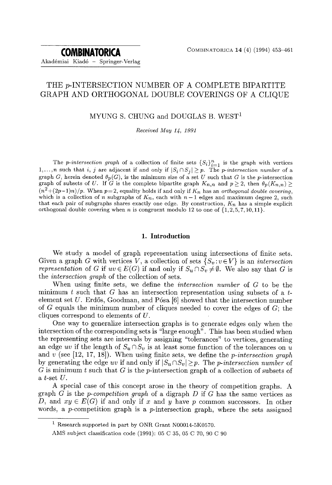# THE p-INTERSECTION NUMBER OF A COMPLETE BIPARTITE GRAPH AND ORTHOGONAL DOUBLE COVERINGS OF A CLIQUE

# MYUNG S. CHUNG and DOUGLAS B. WEST<sup>1</sup>

*Received May 14, 1991* 

The *p-intersection graph* of a collection of finite sets  ${S_i}_{i=1}^n$  is the graph with vertices 1,...,*n* such that *i*, *j* are adjacent if and only if  $|S_i \cap S_j| \geq p$ . The *p-intersection number* of a graph G, herein denoted  $\theta_p(G)$ , is the minimum size of a set U such that G is the p-intersection graph of subsets of U. If G is the complete bipartite graph  $K_{n,n}$  and  $p \geq 2$ , then  $\theta_p(K_{n,n}) \geq$  $(n^2+(2p-1)n)/p$ . When  $p=2$ , equality holds if and only if  $K_n$  has an *orthogonal double covering*, which is a collection of n subgraphs of  $K_n$ , each with  $n-1$  edges and maximum degree 2, such that each pair of subgraphs shares exactly one edge. By construction,  $K_n$  has a simple explicit orthogonal double covering when n is congruent modulo 12 to one of  $\{1, 2, 5, 7, 10, 11\}$ .

# **1. Introduction**

We study a model of graph representation using intersections of finite sets. Given a graph G with vertices V, a collection of sets  $\{S_v : v \in V\}$  is an *intersection representation* of G if  $uv \in E(G)$  if and only if  $S_u \cap S_v \neq \emptyset$ . We also say that G is the *intersection graph* of the collection of sets.

When using finite sets, we define the *intersection number* of G to be the minimum t such that G has an intersection representation using subsets of a telement set  $U$ . Erdős, Goodman, and Pósa [6] showed that the intersection number of G equals the minimum number of cliques needed to cover the edges of  $G$ ; the cliques correspond to elements of U.

One way to generalize intersection graphs is to generate edges only when the intersection of the corresponding sets is "large enough". This has been studied when the representing sets are intervals by assigning "tolerances" to vertices, generating an edge *uv* if the length of  $S_u \cap S_v$  is at least some function of the tolerances on u and v (see [12, 17, 18]). When using finite sets, we define the *p-intersection graph*  by generating the edge *uv* if and only if  $|S_u \cap S_v| \geq p$ . The *p-intersection number* of G is minimum t such that G is the p-intersection graph of a collection of subsets of a t-set  $U$ .

A special case of this concept arose in the theory of competition graphs. A graph G is the *p-competition graph* of a digraph D if G has the same vertices as D, and  $xy \in E(G)$  if and only if x and y have p common successors. In other words, a p-competition graph is a p-intersection graph, where the sets assigned

<sup>1</sup> Research supported in part by ONR Grant N00014-5K0570.

AMS subject classification code (1991): 05 C 35, 05 C 70, 90 C 90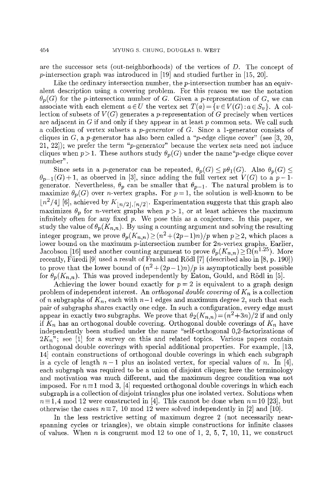are the successor sets (out-neighborhoods) of the vertices of D. The concept of p-intersection graph was introduced in [19] and studied further in [15, 20].

Like the ordinary intersection number, the *p*-intersection number has an equivalent description using a covering problem. For this reason we use the notation  $\theta_p(G)$  for the *p*-intersection number of G. Given a *p*-representation of G, we can associate with each element  $a \in U$  the vertex set  $T(a) = \{v \in V(G) : a \in S_v\}$ . A collection of subsets of  $V(G)$  generates a p-representation of G precisely when vertices are adjacent in  $G$  if and only if they appear in at least  $p$  common sets. We call such a collection of vertex subsets a *p-generator* of G. Since a 1-generator consists of cliques in  $G$ , a p-generator has also been called a "p-edge clique cover" (see [3, 20, 21, 22]); we prefer the term "p-generator" because the vertex sets need not induce cliques when  $p > 1$ . These authors study  $\theta_p(G)$  under the name "*p*-edge clique cover number".

Since sets in a p-generator can be repeated,  $\theta_p(G) \leq p\theta_1(G)$ . Also  $\theta_p(G) \leq$  $\theta_{p-1}(G) + 1$ , as observed in [3], since adding the full vertex set  $V(G)$  to a  $p-1$ generator. Nevertheless,  $\theta_p$  can be smaller that  $\theta_{p-1}$ . The natural problem is to maximize  $\theta_p(G)$  over *n*-vertex graphs. For  $p=1$ , the solution is well-known to be  $\lfloor n^2/4 \rfloor$  [6], achieved by  $K_{\lfloor n/2 \rfloor, \lceil n/2 \rceil}$ . Experimentation suggests that this graph also maximizes  $\theta_p$  for *n*-vertex graphs when  $p > 1$ , or at least achieves the maximum infinitely often for any fixed  $p$ . We pose this as a conjecture. In this paper, we study the value of  $\theta_p(K_{n,n})$ . By using a counting argument and solving the resulting integer program, we prove  $\theta_p(K_{n,n}) \geq (n^2 + (2p-1)n)/p$  when  $p \geq 2$ , which places a lower bound on the maximum p-intersection number for  $2n$ -vertex graphs. Earlier, Jacobson [16] used another counting argument to prove  $\theta_p(K_{n,n}) \geq \Omega(n^{1.25})$ . More recently, Füredi  $[9]$  used a result of Frankl and Rödl  $[7]$  (described also in  $[8, p. 190]$ ) to prove that the lower bound of  $(n^2 + (2p-1)n)/p$  is asymptotically best possible for  $\theta_p(K_{n,n})$ . This was proved independently by Eaton, Gould, and Rödl in [5].

Achieving the lower bound exactly for  $p = 2$  is equivalent to a graph design problem of independent interest. An *orthogonal double covering* of  $K_n$  is a collection of n subgraphs of  $K_n$ , each with  $n-1$  edges and maximum degree 2, such that each pair of subgraphs shares exactly one edge. In such a configuration, every edge must appear in exactly two subgraphs. We prove that  $\theta_2(K_{n,n}) = (n^2+3n)/2$  if and only if  $K_n$  has an orthogonal double covering. Orthogonal double coverings of  $K_n$  have independently been studied under the name "self-orthogonal 0,2-factorizations of  $2K_n$ "; see [1] for a survey on this and related topics. Various papers contain orthogonal double coverings with special additional properties. For example, [13, 14] contain constructions of orthogonal double coverings in which each subgraph is a cycle of length  $n-1$  plus an isolated vertex, for special values of n. In [4], each subgraph was required to be a union of disjoint cliques; here the terminology and motivation was much different, and the maximum degree condition was not imposed. For  $n\equiv 1 \mod 3$ , [4] requested orthogonal double coverings in which each subgraph is a collection of disjoint triangles plus one isolated vertex. Solutions when  $n\equiv 1,4$  mod 12 were constructed in [4]. This cannot be done when  $n=10$  [23], but otherwise the cases  $n = 7$ , 10 mod 12 were solved independently in [2] and [10].

In the less restrictive setting of maximum degree 2 (not necessarily nearspanning cycles or triangles), we obtain simple constructions for infinite classes of values. When  $n$  is congruent mod 12 to one of 1, 2, 5, 7, 10, 11, we construct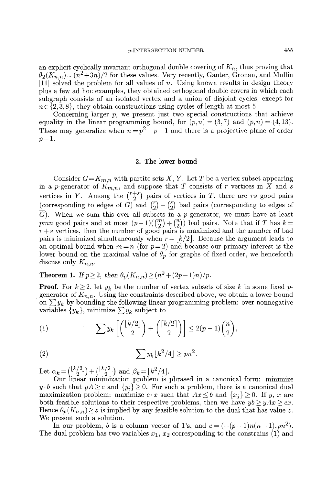an explicit cyclically invariant orthogonal double covering of  $K_n$ , thus proving that  $\theta_2(K_{n,n}) = (n^2+3n)/2$  for these values. Very recently, Ganter, Gronau, and Mullin [11] solved the problem for all values of n. Using known results in design theory plus a few ad hoe examples, they obtained orthogonal double covers in which each subgraph consists of an isolated vertex and a union of disjoint cycles; except for  $n \in \{2, 3, 8\}$ , they obtain constructions using cycles of length at most 5.

Concerning larger  $p$ , we present just two special constructions that achieve equality in the linear programming bound, for  $(p,n) = (3,7)$  and  $(p,n) = (4,13)$ . These may generalize when  $n = p^2 - p + 1$  and there is a projective plane of order  $p-1$ .

### 2. The lower bound

Consider  $G=K_{m,n}$  with partite sets X, Y. Let T be a vertex subset appearing in a p-generator of  $K_{m,n}$ , and suppose that T consists of r vertices in X and s vertices in Y. Among the  $\binom{r+s}{2}$  pairs of vertices in T, there are rs good pairs (corresponding to edges of G) and  $\binom{r}{2} + \binom{s}{2}$  bad pairs (corresponding to edges of  $\overline{G}$ ). When we sum this over all subsets in a p-generator, we must have at least pmn good pairs and at most  $(p-1)((\binom{m}{2} + \binom{n}{2}))$  bad pairs. Note that if T has  $k=$  $r + s$  vertices, then the number of good pairs is maximized and the number of bad pairs is minimized simultaneously when  $r = |k/2|$ . Because the argument leads to an optimal bound when  $m = n$  (for  $p = 2$ ) and because our primary interest is the lower bound on the maximal value of  $\theta_p$  for graphs of fixed order, we henceforth discuss only  $K_{n,n}$ .

# **Theorem 1.** If  $p \geq 2$ , then  $\theta_p(K_{n,n}) \geq (n^2 + (2p-1)n)/p$ .

**Proof.** For  $k \geq 2$ , let  $y_k$  be the number of vertex subsets of size k in some fixed pgenerator of  $K_{n,n}$ . Using the constraints described above, we obtain a lower bound on  $\sum y_k$  by bounding the following linear programming problem: over nonnegative variables  $\{y_k\}$ , minimize  $\sum y_k$  subject to

(1) 
$$
\sum y_k \left[ \binom{\lfloor k/2 \rfloor}{2} + \binom{\lceil k/2 \rceil}{2} \right] \le 2(p-1)\binom{n}{2},
$$

(2) 
$$
\sum y_k \lfloor k^2/4 \rfloor \geq pn^2.
$$

Let  $\alpha_k = {\binom{\lfloor \kappa/2 \rfloor}{2}} + {\binom{\lfloor \kappa/2 \rfloor}{2}}$  and  $\beta_k = \lfloor k^2/4 \rfloor$ .

Our linear minimization problem is phrased in a canonical form: minimize  $y \cdot b$  such that  $yA \geq c$  and  $\{y_i\} \geq 0$ . For such a problem, there is a canonical dual maximization problem: maximize  $c \cdot x$  such that  $Ax \leq b$  and  $\{x_i\} \geq 0$ . If y, x are both feasible solutions to their respective problems, then we have  $yb \ge yAx \ge cx$ . Hence  $\theta_p(K_{n,n}) \geq z$  is implied by any feasible solution to the dual that has value z. We present such a solution.

In our problem, b is a column vector of 1's, and  $c = (- (p-1)n(n-1), pn^2)$ . The dual problem has two variables  $x_1, x_2$  corresponding to the constrains (1) and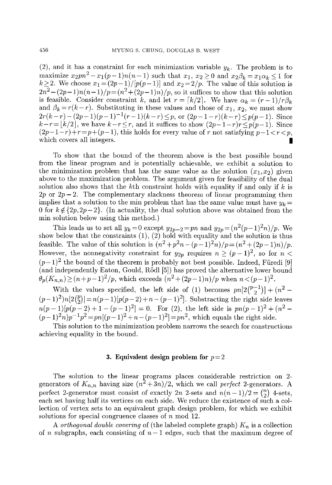(2), and it has a constraint for each minimization variable  $y_k$ . The problem is to maximize  $x_2pn^2 - x_1(p-1)n(n-1)$  such that  $x_1, x_2 \ge 0$  and  $x_2\beta_k = x_1\alpha_k \le 1$  for  $k \geq 2$ . We choose  $x_1 = (2p-1)/p(p-1)$  and  $x_2 = 2/p$ . The value of this solution is  $2n^2 - (2p-1)n(n-1)/p = (n^2 + (2p-1)n)/p$ , so it suffices to show that this solution is feasible. Consider constraint k, and let  $r = \lfloor k/2 \rfloor$ . We have  $\alpha_k = (r-1)/r\beta_k$ and  $\beta_k = r(k-r)$ . Substituting in these values and those of  $x_1, x_2$ , we must show  $2r(k-r) - (2p-1)(p-1)^{-1}(r-1)(k-r) \leq p$ , or  $(2p-1-r)(k-r) \leq p(p-1)$ . Since  $k-r = |k/2|$ , we have  $k-r \leq r$ , and it suffices to show  $(2p-1-r)r \leq p(p-1)$ . Since  $(2p-1-r)+r=p+(p-1)$ , this holds for every value of r not satisfying  $p-1 < r < p$ , which covers all integers.

To show that the bound of the theorem above is the best possible bound from the linear program and is potentially achievable, we exhibit a solution to the minimization problem that has the same value as the solution  $(x_1,x_2)$  given above to the maximization problem. The argument given for feasibility of the dual solution also shows that the kth constraint holds with equality if and only if k is  $2p$  or  $2p-2$ . The complementary slackness theorem of linear programming then implies that a solution to the min problem that has the same value must have  $y_k =$ 0 for  $k \notin \{2p, 2p-2\}$ . (In actuality, the dual solution above was obtained from the min solution below using this method.)

This leads us to set all  $y_k = 0$  except  $y_{2p-2} = pn$  and  $y_{2p} = (n^2(p-1)^2n)/p$ . We show below that the constraints (1), (2) hold with equality and the solution is thus feasible. The value of this solution is  $(n^2 + p^2n - (p-1)^2n)/p = (n^2 + (2p-1)n)/p$ . However, the nonnegativity constraint for  $y_{2p}$  requires  $n \ge (p-1)^2$ , so for  $n <$  $(p-1)^2$  the bound of the theorem is probably not best possible. Indeed, Füredi [9] (and independently Eaton, Gould, Rödl [5]) has proved the alternative lower bound  $\theta_p(K_{n,n}) \ge (n+p-1)^2/p$ , which exceeds  $(n^2+(2p-1)n)/p$  when  $n < (p-1)^2$ .

With the values specified, the left side of (1) becomes  $pn[2\binom{p-1}{2}] + (n^2 (p-1)^2)n[2\binom{p}{2}]=n(p-1)[p(p-2)+n-(p-1)^2]$ . Substracting the right side leaves  $n(p-1)[p(p-2)+1-(p-1)^2] = 0$ . For (2), the left side is  $pn(p-1)^2+(n^2-1)^2$  $(p-1)^2n)p^{-1}p^2 = pn[(p-1)^2 + n - (p-1)^2] = pn^2$ , which equals the right side.

This solution to the minimization problem narrows the search for constructions achieving equality in the bound.

# **3. Equivalent design problem for**  $p=2$

The solution to the linear programs places considerable restriction on 2 generators of  $K_{n,n}$  having size  $(n^2+3n)/2$ , which we call *perfect* 2-generators. A perfect 2-generator must consist of exactly 2n 2-sets and  $n(n-1)/2 = {n \choose 2}$  4-sets, each set having half its vertices on each side. We reduce the existence of such a collection of vertex sets to an equivalent graph design problem, for which we exhibit solutions for special congruence classes of  $n \mod 12$ .

*A orthogonal double covering* of (the labeled complete graph) *Kn* is a collection of n subgraphs, each consisting of  $n-1$  edges, such that the maximum degree of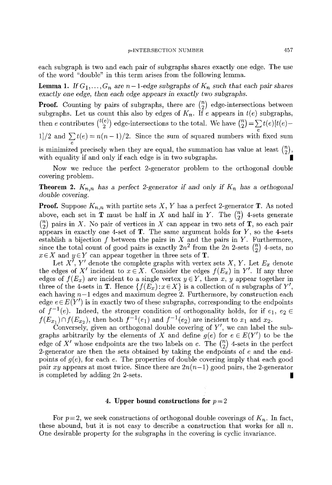each subgraph is two and each pair of subgraphs shares exactly one edge. The use of the word "double" in this term arises from the following lemma.

**Lemma 1.** If  $G_1, \ldots, G_n$  are  $n-1$ -edge subgraphs of  $K_n$  such that each pair shares *exactly* one *edge,* then each *edge* appears in *exactly two subgraphs.* 

**Proof.** Counting by pairs of subgraphs, there are  $\binom{n}{2}$  edge-intersections between subgraphs. Let us count this also by edges of  $K_n$ . If e appears in  $t(e)$  subgraphs, then e contributes  $\binom{t(e)}{2}$  edge-intersections to the total. We have  $\binom{n}{2} = \sum_{e} t(e)[t(e) -$ 1]/2 and  $\sum_{e} t(e) = n(n-1)/2$ . Since the sum of squared numbers with fixed sum is minimized precisely when they are equal, the summation has value at least  $\binom{n}{2}$ , with equality if and only if each edge is in two subgraphs.

Now we reduce the perfect 2-generator problem to the orthogonal double covering problem.

**Theorem 2.**  $K_{n,n}$  has a perfect 2-generator if and only if  $K_n$  has a orthogonal *double covering.* 

**Proof.** Suppose  $K_{n,n}$  with partite sets X, Y has a perfect 2-generator T. As noted above, each set in  $\mathbf T$  must be half in X and half in Y. The  $\binom{n}{2}$  4-sets generate  $\binom{n}{2}$  pairs in X. No pair of vertices in X can appear in two sets of T, so each pair appears in exactly one 4-set of  $T$ . The same argument holds for  $Y$ , so the 4-sets establish a bijection  $f$  between the pairs in  $X$  and the pairs in  $Y$ . Furthermore, since the total count of good pairs is exactly  $2n^2$  from the  $2n$  2-sets  $\binom{n}{2}$  4-sets, no  $x \in X$  and  $y \in Y$  can appear together in three sets of **T**.

Let  $X^i$ ,  $Y'$  denote the complete graphs with vertex sets  $X$ ,  $Y$ . Let  $E_x$  denote the edges of X' incident to  $x \in X$ . Consider the edges  $f(E_x)$  in Y'. If any three edges of  $f(E_x)$  are incident to a single vertex  $y \in Y$ , then x, y appear together in three of the 4-sets in **T**. Hence  $\{f(E_x): x \in X\}$  is a collection of n subgraphs of Y', each having  $n-1$  edges and maximum degree 2. Furthermore, by construction each edge  $e \in E(Y')$  is in exactly two of these subgraphs, corresponding to the endpoints of  $f^{-1}(e)$ . Indeed, the stronger condition of orthogonality holds, for if  $e_1, e_2 \in$  $f(E_{x_1}) \cap f(E_{x_2})$ , then both  $f^{-1}(e_1)$  and  $f^{-1}(e_2)$  are incident to  $x_1$  and  $x_2$ .

Conversely, given an orthogonal double covering of  $Y'$ , we can label the subgraphs arbitrarily by the elements of X and define  $g(e)$  for  $e \in E(Y')$  to be the edge of X' whose endpoints are the two labels on e. The  $\binom{n}{2}$  4-sets in the perfect 2-generator are then the sets obtained by taking the endpoints of e and the endpoints of  $g(e)$ , for each e. The properties of double covering imply that each good pair *xy* appears at most twice. Since there are  $2n(n-1)$  good pairs, the 2-generator is completed by adding  $2n$  2-sets.

### **4. Upper bound constructions for**  $p=2$

For  $p=2$ , we seek constructions of orthogonal double coverings of  $K_n$ . In fact, these abound, but it is not easy to describe a construction that works for all  $n$ . One desirable property for the subgraphs in the covering is cyclic invariance.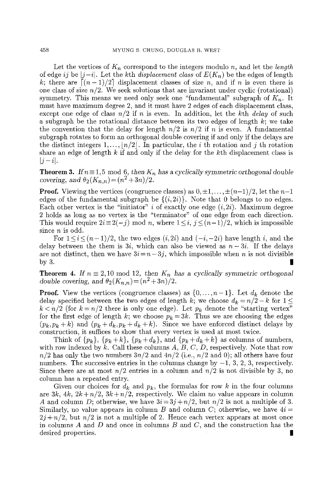Let the vertices of  $K_n$  correspond to the integers modulo n, and let the *length* of edge *ij* be  $|j-i|$ . Let the kth *displacement class* of  $E(K_n)$  be the edges of length k; there are  $\lceil (n-1)/2 \rceil$  displacement classes of size n, and if n is even there is one class of size  $n/2$ . We seek solutions that are invariant under cyclic (rotational) symmetry. This means we need only seek one "fundamental" subgraph of  $K_n$ . It must have maximum degree 2, and it must have 2 edges of each displacement class, except one edge of class  $n/2$  if n is even. In addition, let the kth *delay* of such a subgraph be the rotational distance between its two edges of length  $k$ ; we take the convention that the delay for length  $n/2$  is  $n/2$  if n is even. A fundamental subgraph rotates to form an orthogonal double covering if and only if the delays are the distinct integers  $1, \ldots, \lfloor n/2 \rfloor$ . In particular, the *i* th rotation and *j* th rotation share an edge of length  $k$  if and only if the delay for the  $k$ th displacement class is  $|j-i|$ .

**Theorem 3.** *If*  $n \equiv 1,5 \mod 6$ , *then*  $K_n$  *has a cyclically symmetric orthogonal double covering, and*  $\theta_2(K_{n,n}) = (n^2 + 3n)/2$ .

**Proof.** Viewing the vertices (congruence classes) as  $0, \pm 1, \ldots, \pm (n-1)/2$ , let the  $n-1$ edges of the fundamental subgraph be  $\{(i,2i)\}\)$ . Note that 0 belongs to no edges. Each other vertex is the "initiator" i of exactly one edge  $(i, 2i)$ . Maximum degree 2 holds as long as no vertex is the "terminator" of one edge from each direction. This would require  $2i \equiv 2(-j) \mod n$ , where  $1 \le i, j \le (n-1)/2$ , which is impossible since n is odd.

For  $1 \leq i \leq (n-1)/2$ , the two edges  $(i,2i)$  and  $(-i,-2i)$  have length i, and the delay between the them is  $3i$ , which can also be viewed as  $n-3i$ . If the delays are not distinct, then we have  $3i = n-3j$ , which impossible when n is not divisible by 3.

**Theorem 4.** If  $n \equiv 2,10 \mod 12$ , then  $K_n$  has a cyclically symmetric orthogonal *double covering, and*  $\theta_2(K_{n,n}) = (n^2 + 3n)/2$ .

**Proof.** View the vertices (congruence classes) as  $\{0, \ldots, n-1\}$ . Let  $d_k$  denote the delay specified between the two edges of length k; we choose  $d_k = n/2 - k$  for  $1 \leq$  $k < n/2$  (for  $k = n/2$  there is only one edge). Let  $p_k$  denote the "starting vertex" for the first edge of length k; we choose  $p_k = 3k$ . Thus we are choosing the edges  $(p_k, p_k + k)$  and  $(p_k + d_k, p_k + d_k + k)$ . Since we have enforced distinct delays by construction, it suffices to show that every vertex is used at most twice.

Think of  $\{p_k\}$ ,  $\{p_k+k\}$ ,  $\{p_k+d_k\}$ , and  $\{p_k+d_k+k\}$  as columns of numbers, with row indexed by  $k$ . Call these columns  $A, B, C, D$ , respectively. Note that row  $n/2$  has only the two numbers  $3n/2$  and  $4n/2$  (i.e.,  $n/2$  and 0); all others have four numbers. The successive entries in the columns change by  $-1$ , 3, 2, 3, respectively. Since there are at most  $n/2$  entries in a column and  $n/2$  is not divisible by 3, no column has a repeated entry.

Given our choices for  $d_k$  and  $p_k$ , the formulas for row k in the four columns are  $3k$ ,  $4k$ ,  $2k+n/2$ ,  $3k+n/2$ , respectively. We claim no value appears in column A and column D; otherwise, we have  $3i=3j+n/2$ , but  $n/2$  is not a multiple of 3. Similarly, no value appears in column B and column C; otherwise, we have  $4i =$  $2j + n/2$ , but  $n/2$  is not a multiple of 2. Hence each vertex appears at most once in columns  $A$  and  $D$  and once in columns  $B$  and  $C$ , and the construction has the desired properties.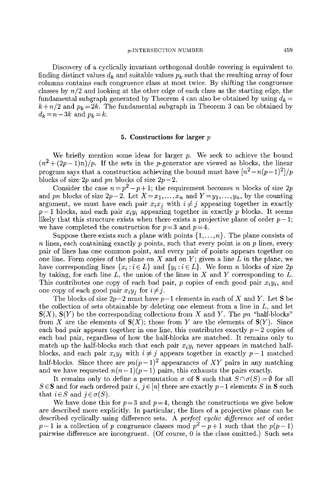Discovery of a cyclically invariant orthogonal double covering is equivalent to finding distinct values  $d_k$  and suitable values  $p_k$  such that the resulting array of four columns contains each congruence class at most twice. By shifting the congruence classes by *n/2* and looking at the other edge of each class as the starting edge, the fundamental subgraph generated by Theorem 4 can also be obtained by using  $d_k =$  $k + n/2$  and  $p_k = 2k$ . The fundamental subgraph in Theorem 3 can be obtained by  $d_k = n - 3k$  and  $p_k = k$ .

## 5. Constructions for larger  $p$

We briefly mention some ideas for larger  $p$ . We seek to achieve the bound  $(n^2 + (2p-1)n)/p$ . If the sets in the p-generator are viewed as blocks, the linear program says that a construction achieving the bound must have  $\frac{n^2 - n(p-1)^2}{p}$ blocks of size  $2p$  and *pn* blocks of size  $2p-2$ .

Consider the case  $n=p^2-p+1$ ; the requirement becomes n blocks of size 2p and *pn* blocks of size  $2p-2$ . Let  $X=x_1,\ldots,x_n$  and  $Y=y_1,\ldots,y_n$ , by the counting argument, we must have each pair  $x_i x_j$  with  $i \neq j$  appearing together in exactly  $p-1$  blocks, and each pair  $x_iy_i$  appearing together in exactly p blocks. It seems likely that this structure exists when there exists a projective plane of order  $p-1$ ; we have completed the construction for  $p=3$  and  $p=4$ .

Suppose there exists such a plane with points  $\{1,\ldots,n\}$ . The plane consists of n lines, each containing exactly  $p$  points, such that every point is on  $p$  lines, every pair of lines has one common point, and every pair of points appears together on one line. Form copies of the plane on  $X$  and on  $Y$ ; given a line  $L$  in the plane, we have corresponding lines  $\{x_i : i \in L\}$  and  $\{y_i : i \in L\}$ . We form *n* blocks of size 2*p* by taking, for each line  $L$ , the union of the lines in X and Y corresponding to  $L$ . This contributes one copy of each bad pair,  $p$  copies of each good pair  $x_i y_i$ , and one copy of each good pair  $x_i y_j$  for  $i \neq j$ .

The blocks of size  $2p-2$  must have  $p-1$  elements in each of X and Y. Let S be the collection of sets obtainable by deleting one element from a line in  $L$ , and let  $S(X)$ ,  $S(Y)$  be the corresponding collections from X and Y. The pn "half-blocks" from X are the elements of  $S(X)$ ; those from Y are the elements of  $S(Y)$ . Since each bad pair appears together in one line, this contributes exactly  $p-2$  copies of each bad pair, regardless of how the half-blocks are matched. It remains only to match up the half-blocks such that each pair  $x_i y_i$  never appears in matched halfblocks, and each pair  $x_i y_j$  with  $i \neq j$  appears together in exactly  $p-1$  matched half-blocks. Since there are  $pn(p-1)^2$  appearances of XY pairs in any matching and we have requested  $n(n-1)(p-1)$  pairs, this exhausts the pairs exactly.

It remains only to define a permutation  $\sigma$  of **S** such that  $S \cap \sigma(S) = \emptyset$  for all  $S \in \mathbf{S}$  and for each ordered pair i,  $i \in [n]$  there are exactly  $p-1$  elements S in S such that  $i \in S$  and  $j \in \sigma(S)$ .

We have done this for  $p=3$  and  $p=4$ , though the constructions we give below are described more explicitly. In particular, the lines of a projective plane can be described cyclically using difference sets. A *perfect cyclic difference set* of order  $p-1$  is a collection of p congruence classes mod  $p^2-p+1$  such that the  $p(p-1)$ pairwise difference are incongruent. (Of course, 0 is the class omitted.) Such sets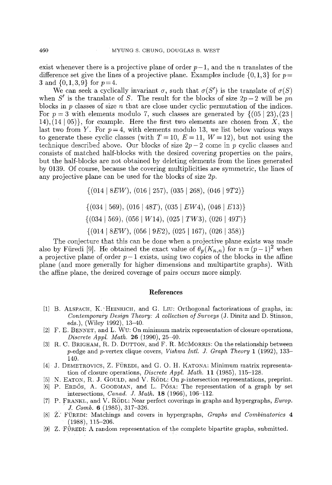exist whenever there is a projective plane of order  $p-1$ , and the *n* translates of the difference set give the lines of a projective plane. Examples include  $\{0,1,3\}$  for  $p=$ 3 and  $\{0,1,3,9\}$  for  $p=4$ .

We can seek a cyclically invariant  $\sigma$ , such that  $\sigma(S')$  is the translate of  $\sigma(S)$ when S' is the translate of S. The result for the blocks of size  $2p-2$  will be *pn* blocks in  $p$  classes of size  $n$  that are close under cyclic permutation of the indices. For  $p = 3$  with elements modulo 7, such classes are generated by  $\{(05 \mid 23), (23 \mid$ 14),  $(14 | 05)$ , for example. Here the first two elements are chosen from X, the last two from Y. For  $p=4$ , with elements modulo 13, we list below various ways to generate these cyclic classes (with  $T = 10$ ,  $E = 11$ ,  $W = 12$ ), but not using the technique described above. Our blocks of size  $2p - 2$  come in p cyclic classes and consists of matched half-blocks with the desired covering properties on the pairs, but the half-blocks are not obtained by deleting elements from the lines generated by 0139. Of course, because the covering multiplicities are symmetric, the lines of any projective plane can be used for the blocks of size 2p.

 $\{(014 \mid 8EW), (016 \mid 257), (035 \mid 268), (046 \mid 9T2)\}$ 

 $\{(034 \mid 569), (016 \mid 48T), (035 \mid EW4), (046 \mid E13)\}$ 

 $\{(034 \mid 569), (056 \mid W14), (025 \mid TW3), (026 \mid 49T)\}\$ 

 $\{(014 \mid 8EW), (056 \mid 9E2), (025 \mid 167), (026 \mid 358)\}\$ 

The conjecture that this can be done when a projective plane exists was made also by Füredi [9]. He obtained the exact value of  $\theta_p(K_{n,n})$  for  $n = (p-1)^2$  when a projective plane of order  $p-1$  exists, using two copies of the blocks in the affine plane (and more generally for higher dimensions and multipartite graphs). With the affine plane, the desired coverage of pairs occurs more simply.

# **References**

- [I] B. ALSPACH, K. 'HEINRICH, and G. LIU: Orthogonal factorizations of graphs, in: *Contemporary Design Theory: A collection of Surveys* (J. Dinitz and D. Stinson, eds.), (Wiley 1992), 13-40.
- [2] F. E. BENNET, and L. Wu: On minimum matrix representation of closure operations, *Discrete AppI. Math.* 26 (1990), 25-40.
- [3] R. C. BRIGHAM, R. D. DUTTON, and F. R. MCMORRIS: On the relationship between p-edge and p-vertex clique covers, *Vishwa Intl. J. Graph Theory* 1 (1992), 133- 140.
- [4] J. DEMETROVICS, Z. FÜREDI, and G. O. H. KATONA: Minimum matrix representation of closure operations, *Discrete Appl. Math.* **11** (1985), 115-128.
- [5] N. EATON, R. J. GOULD, and V. RODL: On p-intersection representations, preprint.
- [6] P. ERDŐS, A. GOODMAN, and L. PÓSA: The representation of a graph by set intersections, *Canad. J. Math.* 18 (1966), 106-112.
- [7] P. FRANKL and V. RODL: Near perfect coverings in graphs and hypergraphs, *Europ. J. Comb.* 6 (1985), 317-326.
- [8] Z'.' Fi)REDI: Matchings and covers in hypergraphs, *Graphs and Combinatories 4*  (1988), 115-206.
- [9] Z. FOREDI: A random representation of the complete bipartite graphs, submitted.